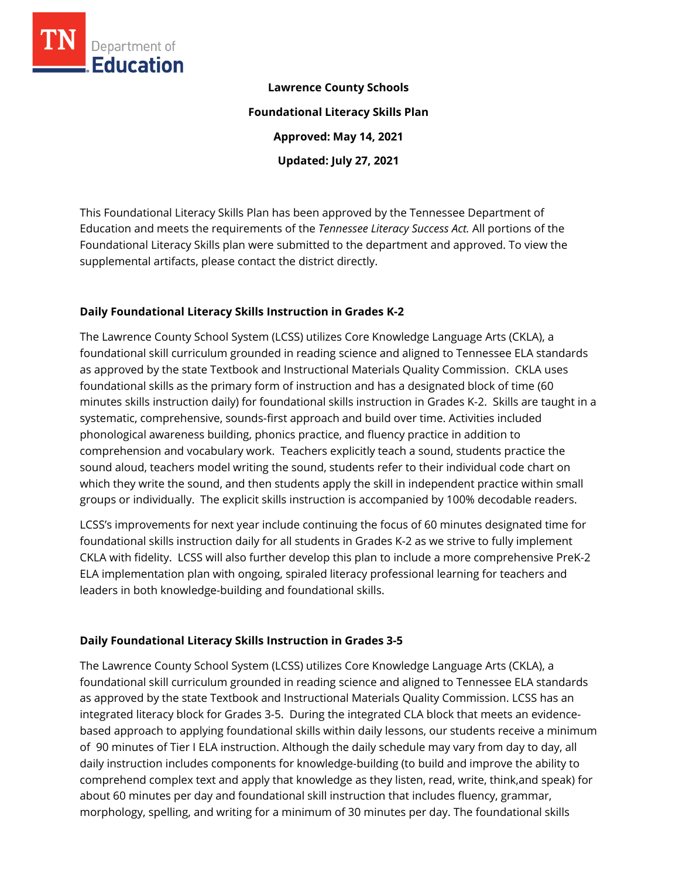

**Lawrence County Schools Foundational Literacy Skills Plan Approved: May 14, 2021 Updated: July 27, 2021**

This Foundational Literacy Skills Plan has been approved by the Tennessee Department of Education and meets the requirements of the *Tennessee Literacy Success Act.* All portions of the Foundational Literacy Skills plan were submitted to the department and approved. To view the supplemental artifacts, please contact the district directly.

### **Daily Foundational Literacy Skills Instruction in Grades K-2**

The Lawrence County School System (LCSS) utilizes Core Knowledge Language Arts (CKLA), a foundational skill curriculum grounded in reading science and aligned to Tennessee ELA standards as approved by the state Textbook and Instructional Materials Quality Commission. CKLA uses foundational skills as the primary form of instruction and has a designated block of time (60 minutes skills instruction daily) for foundational skills instruction in Grades K-2. Skills are taught in a systematic, comprehensive, sounds-first approach and build over time. Activities included phonological awareness building, phonics practice, and fluency practice in addition to comprehension and vocabulary work. Teachers explicitly teach a sound, students practice the sound aloud, teachers model writing the sound, students refer to their individual code chart on which they write the sound, and then students apply the skill in independent practice within small groups or individually. The explicit skills instruction is accompanied by 100% decodable readers.

LCSS's improvements for next year include continuing the focus of 60 minutes designated time for foundational skills instruction daily for all students in Grades K-2 as we strive to fully implement CKLA with fidelity. LCSS will also further develop this plan to include a more comprehensive PreK-2 ELA implementation plan with ongoing, spiraled literacy professional learning for teachers and leaders in both knowledge-building and foundational skills.

### **Daily Foundational Literacy Skills Instruction in Grades 3-5**

The Lawrence County School System (LCSS) utilizes Core Knowledge Language Arts (CKLA), a foundational skill curriculum grounded in reading science and aligned to Tennessee ELA standards as approved by the state Textbook and Instructional Materials Quality Commission. LCSS has an integrated literacy block for Grades 3-5. During the integrated CLA block that meets an evidencebased approach to applying foundational skills within daily lessons, our students receive a minimum of 90 minutes of Tier I ELA instruction. Although the daily schedule may vary from day to day, all daily instruction includes components for knowledge-building (to build and improve the ability to comprehend complex text and apply that knowledge as they listen, read, write, think,and speak) for about 60 minutes per day and foundational skill instruction that includes fluency, grammar, morphology, spelling, and writing for a minimum of 30 minutes per day. The foundational skills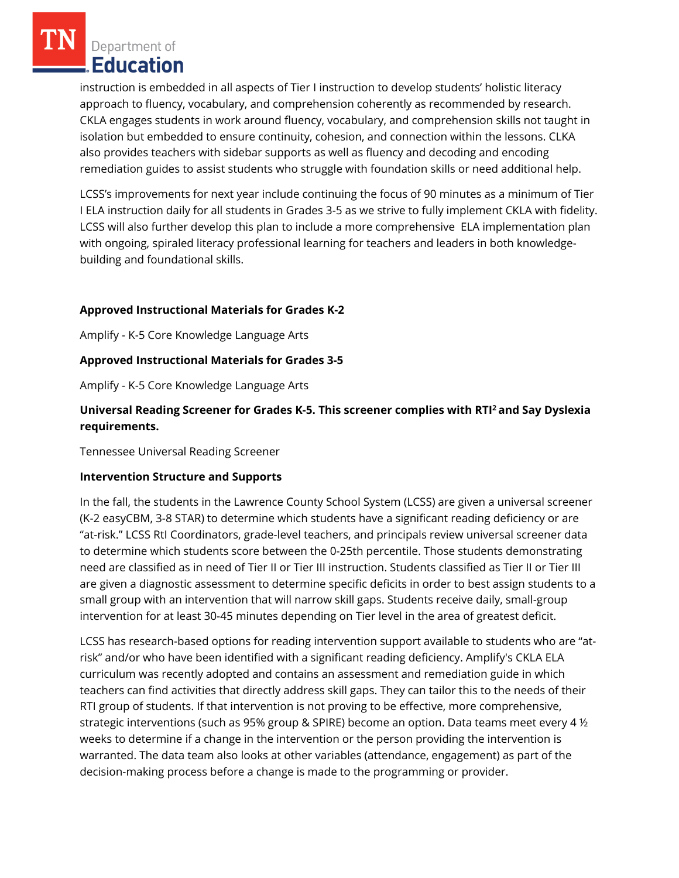Department of Education

instruction is embedded in all aspects of Tier I instruction to develop students' holistic literacy approach to fluency, vocabulary, and comprehension coherently as recommended by research. CKLA engages students in work around fluency, vocabulary, and comprehension skills not taught in isolation but embedded to ensure continuity, cohesion, and connection within the lessons. CLKA also provides teachers with sidebar supports as well as fluency and decoding and encoding remediation guides to assist students who struggle with foundation skills or need additional help.

LCSS's improvements for next year include continuing the focus of 90 minutes as a minimum of Tier I ELA instruction daily for all students in Grades 3-5 as we strive to fully implement CKLA with fidelity. LCSS will also further develop this plan to include a more comprehensive ELA implementation plan with ongoing, spiraled literacy professional learning for teachers and leaders in both knowledgebuilding and foundational skills.

# **Approved Instructional Materials for Grades K-2**

Amplify - K-5 Core Knowledge Language Arts

# **Approved Instructional Materials for Grades 3-5**

Amplify - K-5 Core Knowledge Language Arts

# **Universal Reading Screener for Grades K-5. This screener complies with RTI<sup>2</sup>and Say Dyslexia requirements.**

Tennessee Universal Reading Screener

### **Intervention Structure and Supports**

In the fall, the students in the Lawrence County School System (LCSS) are given a universal screener (K-2 easyCBM, 3-8 STAR) to determine which students have a significant reading deficiency or are "at-risk." LCSS RtI Coordinators, grade-level teachers, and principals review universal screener data to determine which students score between the 0-25th percentile. Those students demonstrating need are classified as in need of Tier II or Tier III instruction. Students classified as Tier II or Tier III are given a diagnostic assessment to determine specific deficits in order to best assign students to a small group with an intervention that will narrow skill gaps. Students receive daily, small-group intervention for at least 30-45 minutes depending on Tier level in the area of greatest deficit.

LCSS has research-based options for reading intervention support available to students who are "atrisk" and/or who have been identified with a significant reading deficiency. Amplify's CKLA ELA curriculum was recently adopted and contains an assessment and remediation guide in which teachers can find activities that directly address skill gaps. They can tailor this to the needs of their RTI group of students. If that intervention is not proving to be effective, more comprehensive, strategic interventions (such as 95% group & SPIRE) become an option. Data teams meet every 4 ½ weeks to determine if a change in the intervention or the person providing the intervention is warranted. The data team also looks at other variables (attendance, engagement) as part of the decision-making process before a change is made to the programming or provider.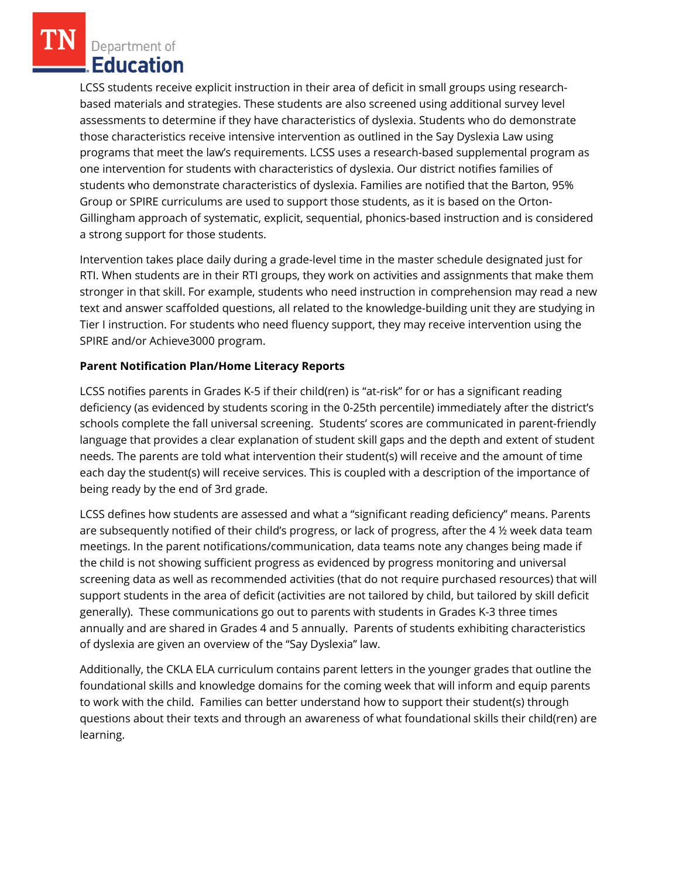Department of **Education** 

LCSS students receive explicit instruction in their area of deficit in small groups using researchbased materials and strategies. These students are also screened using additional survey level assessments to determine if they have characteristics of dyslexia. Students who do demonstrate those characteristics receive intensive intervention as outlined in the Say Dyslexia Law using programs that meet the law's requirements. LCSS uses a research-based supplemental program as one intervention for students with characteristics of dyslexia. Our district notifies families of students who demonstrate characteristics of dyslexia. Families are notified that the Barton, 95% Group or SPIRE curriculums are used to support those students, as it is based on the Orton-Gillingham approach of systematic, explicit, sequential, phonics-based instruction and is considered a strong support for those students.

Intervention takes place daily during a grade-level time in the master schedule designated just for RTI. When students are in their RTI groups, they work on activities and assignments that make them stronger in that skill. For example, students who need instruction in comprehension may read a new text and answer scaffolded questions, all related to the knowledge-building unit they are studying in Tier I instruction. For students who need fluency support, they may receive intervention using the SPIRE and/or Achieve3000 program.

# **Parent Notification Plan/Home Literacy Reports**

LCSS notifies parents in Grades K-5 if their child(ren) is "at-risk" for or has a significant reading deficiency (as evidenced by students scoring in the 0-25th percentile) immediately after the district's schools complete the fall universal screening. Students' scores are communicated in parent-friendly language that provides a clear explanation of student skill gaps and the depth and extent of student needs. The parents are told what intervention their student(s) will receive and the amount of time each day the student(s) will receive services. This is coupled with a description of the importance of being ready by the end of 3rd grade.

LCSS defines how students are assessed and what a "significant reading deficiency" means. Parents are subsequently notified of their child's progress, or lack of progress, after the 4 ½ week data team meetings. In the parent notifications/communication, data teams note any changes being made if the child is not showing sufficient progress as evidenced by progress monitoring and universal screening data as well as recommended activities (that do not require purchased resources) that will support students in the area of deficit (activities are not tailored by child, but tailored by skill deficit generally). These communications go out to parents with students in Grades K-3 three times annually and are shared in Grades 4 and 5 annually. Parents of students exhibiting characteristics of dyslexia are given an overview of the "Say Dyslexia" law.

Additionally, the CKLA ELA curriculum contains parent letters in the younger grades that outline the foundational skills and knowledge domains for the coming week that will inform and equip parents to work with the child. Families can better understand how to support their student(s) through questions about their texts and through an awareness of what foundational skills their child(ren) are learning.